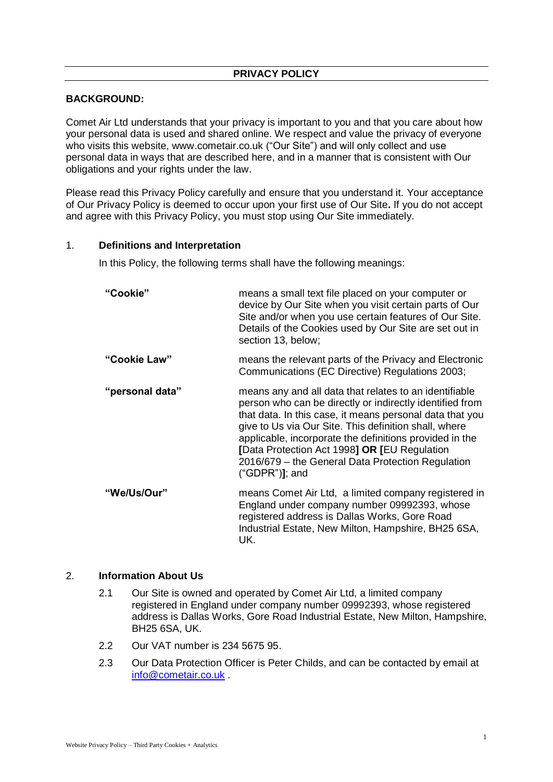# **PRIVACY POLICY**

#### **BACKGROUND:**

Comet Air Ltd understands that your privacy is important to you and that you care about how your personal data is used and shared online. We respect and value the privacy of everyone who visits this website, www.cometair.co.uk ("Our Site") and will only collect and use personal data in ways that are described here, and in a manner that is consistent with Our obligations and your rights under the law.

Please read this Privacy Policy carefully and ensure that you understand it. Your acceptance of Our Privacy Policy is deemed to occur upon your first use of Our Site**.** If you do not accept and agree with this Privacy Policy, you must stop using Our Site immediately.

#### 1. **Definitions and Interpretation**

In this Policy, the following terms shall have the following meanings:

| "Cookie"        | means a small text file placed on your computer or<br>device by Our Site when you visit certain parts of Our<br>Site and/or when you use certain features of Our Site.<br>Details of the Cookies used by Our Site are set out in<br>section 13, below;                                                                                                                                                                      |
|-----------------|-----------------------------------------------------------------------------------------------------------------------------------------------------------------------------------------------------------------------------------------------------------------------------------------------------------------------------------------------------------------------------------------------------------------------------|
| "Cookie Law"    | means the relevant parts of the Privacy and Electronic<br>Communications (EC Directive) Regulations 2003;                                                                                                                                                                                                                                                                                                                   |
| "personal data" | means any and all data that relates to an identifiable<br>person who can be directly or indirectly identified from<br>that data. In this case, it means personal data that you<br>give to Us via Our Site. This definition shall, where<br>applicable, incorporate the definitions provided in the<br>[Data Protection Act 1998] OR [EU Regulation<br>2016/679 – the General Data Protection Regulation<br>$("GDPR")$ ; and |
| "We/Us/Our"     | means Comet Air Ltd, a limited company registered in<br>England under company number 09992393, whose<br>registered address is Dallas Works, Gore Road<br>Industrial Estate, New Milton, Hampshire, BH25 6SA,<br>UK.                                                                                                                                                                                                         |

#### 2. **Information About Us**

- 2.1 Our Site is owned and operated by Comet Air Ltd, a limited company registered in England under company number 09992393, whose registered address is Dallas Works, Gore Road Industrial Estate, New Milton, Hampshire, BH25 6SA, UK.
- 2.2 Our VAT number is 234 5675 95.
- 2.3 Our Data Protection Officer is Peter Childs, and can be contacted by email at [info@cometair.co.uk](mailto:info@cometair.co.uk) .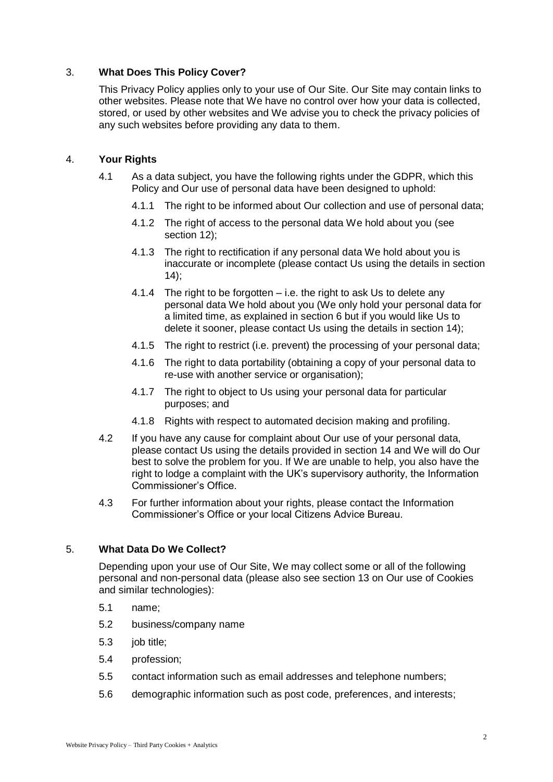# 3. **What Does This Policy Cover?**

This Privacy Policy applies only to your use of Our Site. Our Site may contain links to other websites. Please note that We have no control over how your data is collected, stored, or used by other websites and We advise you to check the privacy policies of any such websites before providing any data to them.

## 4. **Your Rights**

- 4.1 As a data subject, you have the following rights under the GDPR, which this Policy and Our use of personal data have been designed to uphold:
	- 4.1.1 The right to be informed about Our collection and use of personal data;
	- 4.1.2 The right of access to the personal data We hold about you (see section 12);
	- 4.1.3 The right to rectification if any personal data We hold about you is inaccurate or incomplete (please contact Us using the details in section  $(14)$ ;
	- 4.1.4 The right to be forgotten i.e. the right to ask Us to delete any personal data We hold about you (We only hold your personal data for a limited time, as explained in section 6 but if you would like Us to delete it sooner, please contact Us using the details in section 14);
	- 4.1.5 The right to restrict (i.e. prevent) the processing of your personal data;
	- 4.1.6 The right to data portability (obtaining a copy of your personal data to re-use with another service or organisation);
	- 4.1.7 The right to object to Us using your personal data for particular purposes; and
	- 4.1.8 Rights with respect to automated decision making and profiling.
- 4.2 If you have any cause for complaint about Our use of your personal data, please contact Us using the details provided in section 14 and We will do Our best to solve the problem for you. If We are unable to help, you also have the right to lodge a complaint with the UK's supervisory authority, the Information Commissioner's Office.
- 4.3 For further information about your rights, please contact the Information Commissioner's Office or your local Citizens Advice Bureau.

## 5. **What Data Do We Collect?**

Depending upon your use of Our Site, We may collect some or all of the following personal and non-personal data (please also see section 13 on Our use of Cookies and similar technologies):

- 5.1 name;
- 5.2 business/company name
- 5.3 job title;
- 5.4 profession;
- 5.5 contact information such as email addresses and telephone numbers;
- 5.6 demographic information such as post code, preferences, and interests;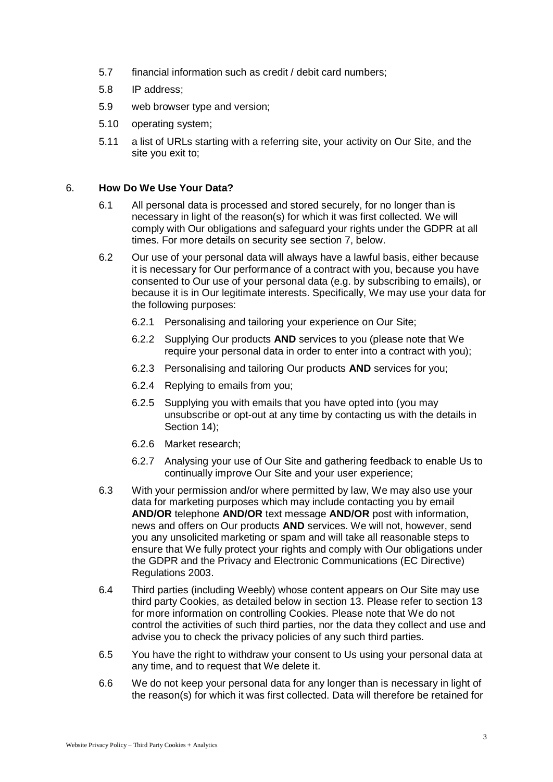- 5.7 financial information such as credit / debit card numbers;
- 5.8 IP address;
- 5.9 web browser type and version;
- 5.10 operating system;
- 5.11 a list of URLs starting with a referring site, your activity on Our Site, and the site you exit to;

#### 6. **How Do We Use Your Data?**

- 6.1 All personal data is processed and stored securely, for no longer than is necessary in light of the reason(s) for which it was first collected. We will comply with Our obligations and safeguard your rights under the GDPR at all times. For more details on security see section 7, below.
- 6.2 Our use of your personal data will always have a lawful basis, either because it is necessary for Our performance of a contract with you, because you have consented to Our use of your personal data (e.g. by subscribing to emails), or because it is in Our legitimate interests. Specifically, We may use your data for the following purposes:
	- 6.2.1 Personalising and tailoring your experience on Our Site;
	- 6.2.2 Supplying Our products **AND** services to you (please note that We require your personal data in order to enter into a contract with you);
	- 6.2.3 Personalising and tailoring Our products **AND** services for you;
	- 6.2.4 Replying to emails from you;
	- 6.2.5 Supplying you with emails that you have opted into (you may unsubscribe or opt-out at any time by contacting us with the details in Section 14);
	- 6.2.6 Market research;
	- 6.2.7 Analysing your use of Our Site and gathering feedback to enable Us to continually improve Our Site and your user experience;
- 6.3 With your permission and/or where permitted by law, We may also use your data for marketing purposes which may include contacting you by email **AND/OR** telephone **AND/OR** text message **AND/OR** post with information, news and offers on Our products **AND** services. We will not, however, send you any unsolicited marketing or spam and will take all reasonable steps to ensure that We fully protect your rights and comply with Our obligations under the GDPR and the Privacy and Electronic Communications (EC Directive) Regulations 2003.
- 6.4 Third parties (including Weebly) whose content appears on Our Site may use third party Cookies, as detailed below in section 13. Please refer to section 13 for more information on controlling Cookies. Please note that We do not control the activities of such third parties, nor the data they collect and use and advise you to check the privacy policies of any such third parties.
- 6.5 You have the right to withdraw your consent to Us using your personal data at any time, and to request that We delete it.
- 6.6 We do not keep your personal data for any longer than is necessary in light of the reason(s) for which it was first collected. Data will therefore be retained for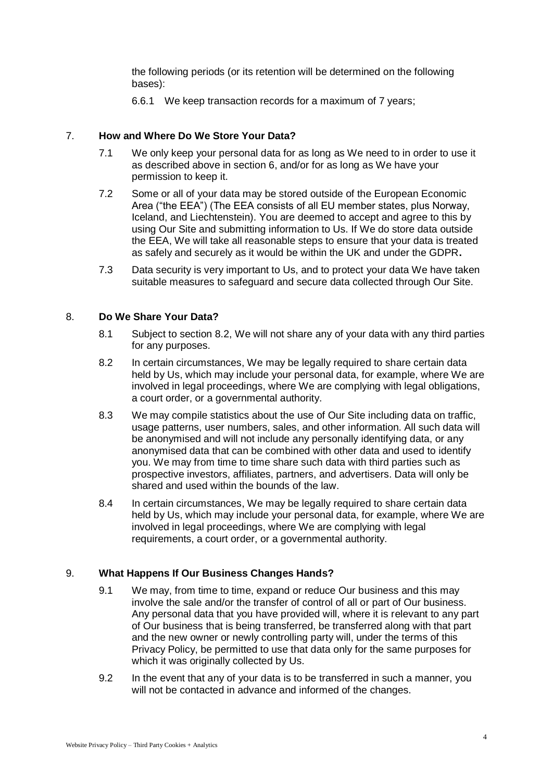the following periods (or its retention will be determined on the following bases):

6.6.1 We keep transaction records for a maximum of 7 years;

## 7. **How and Where Do We Store Your Data?**

- 7.1 We only keep your personal data for as long as We need to in order to use it as described above in section 6, and/or for as long as We have your permission to keep it.
- 7.2 Some or all of your data may be stored outside of the European Economic Area ("the EEA") (The EEA consists of all EU member states, plus Norway, Iceland, and Liechtenstein). You are deemed to accept and agree to this by using Our Site and submitting information to Us. If We do store data outside the EEA, We will take all reasonable steps to ensure that your data is treated as safely and securely as it would be within the UK and under the GDPR**.**
- 7.3 Data security is very important to Us, and to protect your data We have taken suitable measures to safeguard and secure data collected through Our Site.

## 8. **Do We Share Your Data?**

- 8.1 Subject to section 8.2, We will not share any of your data with any third parties for any purposes.
- 8.2 In certain circumstances, We may be legally required to share certain data held by Us, which may include your personal data, for example, where We are involved in legal proceedings, where We are complying with legal obligations, a court order, or a governmental authority.
- 8.3 We may compile statistics about the use of Our Site including data on traffic, usage patterns, user numbers, sales, and other information. All such data will be anonymised and will not include any personally identifying data, or any anonymised data that can be combined with other data and used to identify you. We may from time to time share such data with third parties such as prospective investors, affiliates, partners, and advertisers. Data will only be shared and used within the bounds of the law.
- 8.4 In certain circumstances, We may be legally required to share certain data held by Us, which may include your personal data, for example, where We are involved in legal proceedings, where We are complying with legal requirements, a court order, or a governmental authority.

## 9. **What Happens If Our Business Changes Hands?**

- 9.1 We may, from time to time, expand or reduce Our business and this may involve the sale and/or the transfer of control of all or part of Our business. Any personal data that you have provided will, where it is relevant to any part of Our business that is being transferred, be transferred along with that part and the new owner or newly controlling party will, under the terms of this Privacy Policy, be permitted to use that data only for the same purposes for which it was originally collected by Us.
- 9.2 In the event that any of your data is to be transferred in such a manner, you will not be contacted in advance and informed of the changes.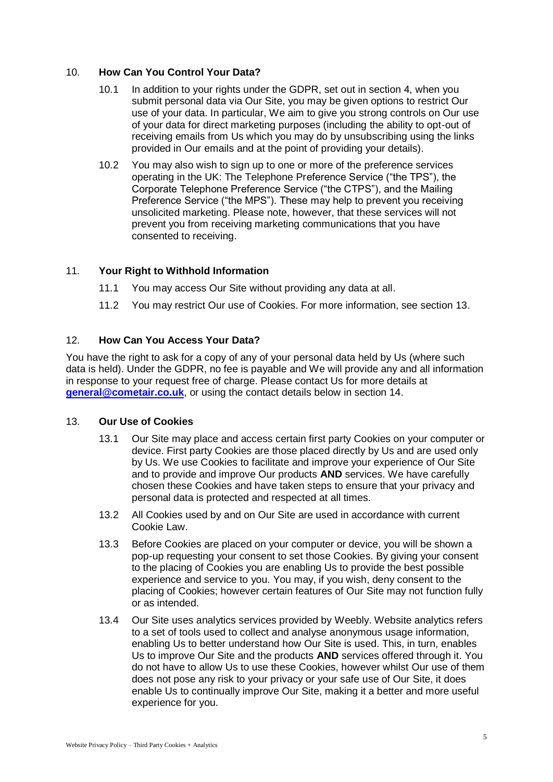# 10. **How Can You Control Your Data?**

- 10.1 In addition to your rights under the GDPR, set out in section 4, when you submit personal data via Our Site, you may be given options to restrict Our use of your data. In particular, We aim to give you strong controls on Our use of your data for direct marketing purposes (including the ability to opt-out of receiving emails from Us which you may do by unsubscribing using the links provided in Our emails and at the point of providing your details).
- 10.2 You may also wish to sign up to one or more of the preference services operating in the UK: The Telephone Preference Service ("the TPS"), the Corporate Telephone Preference Service ("the CTPS"), and the Mailing Preference Service ("the MPS"). These may help to prevent you receiving unsolicited marketing. Please note, however, that these services will not prevent you from receiving marketing communications that you have consented to receiving.

# 11. **Your Right to Withhold Information**

- 11.1 You may access Our Site without providing any data at all.
- 11.2 You may restrict Our use of Cookies. For more information, see section 13.

# 12. **How Can You Access Your Data?**

You have the right to ask for a copy of any of your personal data held by Us (where such data is held). Under the GDPR, no fee is payable and We will provide any and all information in response to your request free of charge. Please contact Us for more details at **[general@cometair.co.uk](mailto:general@cometair.co.uk)**, or using the contact details below in section 14.

## 13. **Our Use of Cookies**

- 13.1 Our Site may place and access certain first party Cookies on your computer or device. First party Cookies are those placed directly by Us and are used only by Us. We use Cookies to facilitate and improve your experience of Our Site and to provide and improve Our products **AND** services. We have carefully chosen these Cookies and have taken steps to ensure that your privacy and personal data is protected and respected at all times.
- 13.2 All Cookies used by and on Our Site are used in accordance with current Cookie Law.
- 13.3 Before Cookies are placed on your computer or device, you will be shown a pop-up requesting your consent to set those Cookies. By giving your consent to the placing of Cookies you are enabling Us to provide the best possible experience and service to you. You may, if you wish, deny consent to the placing of Cookies; however certain features of Our Site may not function fully or as intended.
- 13.4 Our Site uses analytics services provided by Weebly. Website analytics refers to a set of tools used to collect and analyse anonymous usage information, enabling Us to better understand how Our Site is used. This, in turn, enables Us to improve Our Site and the products **AND** services offered through it. You do not have to allow Us to use these Cookies, however whilst Our use of them does not pose any risk to your privacy or your safe use of Our Site, it does enable Us to continually improve Our Site, making it a better and more useful experience for you.